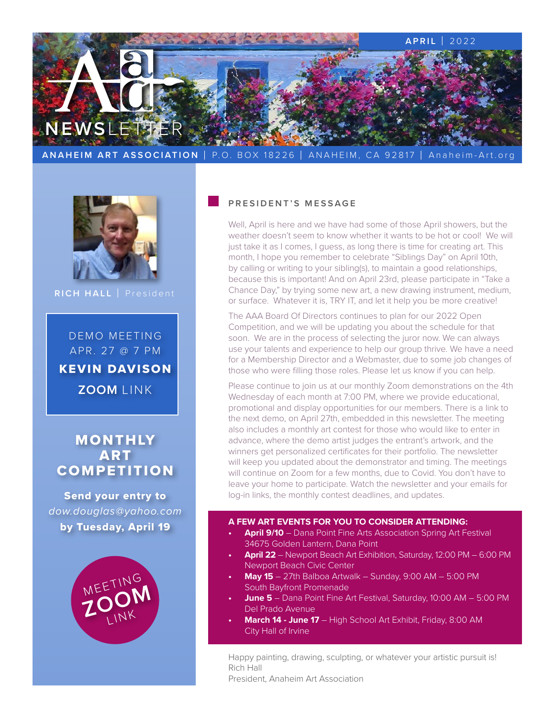



**RICH HALL** | President

DEMO MEETING APR. 27 @ 7 PM KEVIN DAVISON **ZOOM** LINK

# MONTHLY **ART COMPETITION**

Send your entry to *[dow.douglas@yahoo.com](mailto:dow.douglas%40yahoo.com?subject=)* by Tuesday, April 19



#### **PRESIDENT'S MESSAGE**

Well, April is here and we have had some of those April showers, but the weather doesn't seem to know whether it wants to be hot or cool! We will just take it as I comes, I guess, as long there is time for creating art. This month, I hope you remember to celebrate "Siblings Day" on April 10th, by calling or writing to your sibling(s), to maintain a good relationships, because this is important! And on April 23rd, please participate in "Take a Chance Day," by trying some new art, a new drawing instrument, medium, or surface. Whatever it is, TRY IT, and let it help you be more creative!

The AAA Board Of Directors continues to plan for our 2022 Open Competition, and we will be updating you about the schedule for that soon. We are in the process of selecting the juror now. We can always use your talents and experience to help our group thrive. We have a need for a Membership Director and a Webmaster, due to some job changes of those who were filling those roles. Please let us know if you can help.

Please continue to join us at our monthly Zoom demonstrations on the 4th Wednesday of each month at 7:00 PM, where we provide educational, promotional and display opportunities for our members. There is a link to the next demo, on April 27th, embedded in this newsletter. The meeting also includes a monthly art contest for those who would like to enter in advance, where the demo artist judges the entrant's artwork, and the winners get personalized certificates for their portfolio. The newsletter will keep you updated about the demonstrator and timing. The meetings will continue on Zoom for a few months, due to Covid. You don't have to leave your home to participate. Watch the newsletter and your emails for log-in links, the monthly contest deadlines, and updates.

#### **A FEW ART EVENTS FOR YOU TO CONSIDER ATTENDING:**

- **• April 9/10** [Dana Point Fine Arts Association Spring Art Festival](https://danapointfinearts.org/events/) [34675 Golden Lantern, Dana Point](https://danapointfinearts.org/events/)
- **• April 22** [Newport Beach Art Exhibition, Saturday, 12:00 PM 6:00 PM](https://www.newportbeachca.gov/government/departments/library-services/cultural-arts/newport-beach-art-exhibition)  [Newport Beach Civic Center](https://www.newportbeachca.gov/government/departments/library-services/cultural-arts/newport-beach-art-exhibition)
- **• May 15** [27th Balboa Artwalk Sunday, 9:00 AM 5:00 PM](https://www.balboaislandartwalk.info) [South Bayfront Promenade](https://www.balboaislandartwalk.info)
- **• June 5** [Dana Point Fine Art Festival, Saturday, 10:00 AM 5:00 PM](https://danapointfinearts.org/events/) [Del Prado Avenue](https://danapointfinearts.org/events/)
- **• March 14 June 17** [High School Art Exhibit, Friday, 8:00 AM](https://www.cityofirvine.org/news-media/news-article/irvine-fine-arts-center-showcases-student-work-2022-high-school-art) [City Hall of Irvine](https://www.cityofirvine.org/news-media/news-article/irvine-fine-arts-center-showcases-student-work-2022-high-school-art)

Happy painting, drawing, sculpting, or whatever your artistic pursuit is! Rich Hall

President, Anaheim Art Association

Ĩ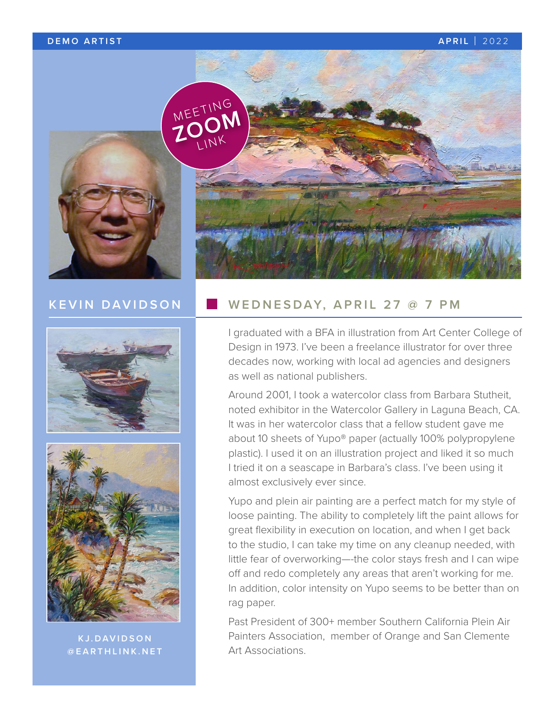### **DEMO ARTIST APRIL** | 2022



# **KEVIN DAVIDSON**





**KJ.DAVIDSON @EARTHLINK.NET**

## **WEDNESDAY, APRIL 27 @ 7 PM**

I graduated with a BFA in illustration from Art Center College of Design in 1973. I've been a freelance illustrator for over three decades now, working with local ad agencies and designers as well as national publishers.

Around 2001, I took a watercolor class from Barbara Stutheit, noted exhibitor in the Watercolor Gallery in Laguna Beach, CA. It was in her watercolor class that a fellow student gave me about 10 sheets of Yupo® paper (actually 100% polypropylene plastic). I used it on an illustration project and liked it so much I tried it on a seascape in Barbara's class. I've been using it almost exclusively ever since.

Yupo and plein air painting are a perfect match for my style of loose painting. The ability to completely lift the paint allows for great flexibility in execution on location, and when I get back to the studio, I can take my time on any cleanup needed, with little fear of overworking—-the color stays fresh and I can wipe off and redo completely any areas that aren't working for me. In addition, color intensity on Yupo seems to be better than on rag paper.

Past President of 300+ member Southern California Plein Air Painters Association, member of Orange and San Clemente Art Associations.